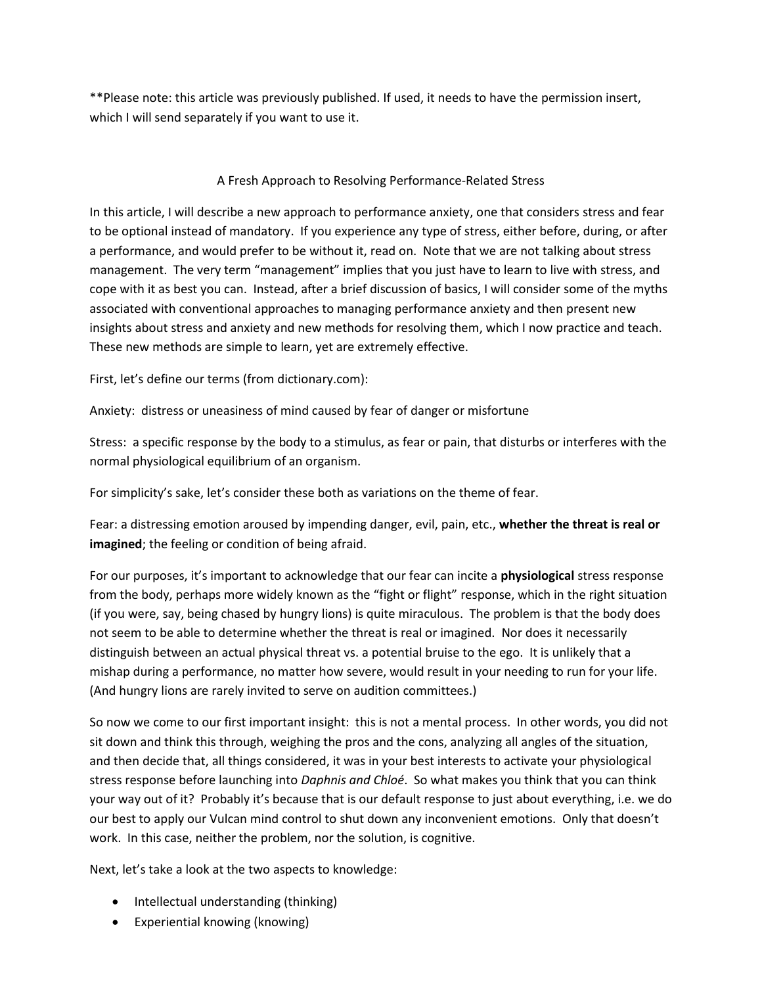\*\*Please note: this article was previously published. If used, it needs to have the permission insert, which I will send separately if you want to use it.

## A Fresh Approach to Resolving Performance-Related Stress

In this article, I will describe a new approach to performance anxiety, one that considers stress and fear to be optional instead of mandatory. If you experience any type of stress, either before, during, or after a performance, and would prefer to be without it, read on. Note that we are not talking about stress management. The very term "management" implies that you just have to learn to live with stress, and cope with it as best you can. Instead, after a brief discussion of basics, I will consider some of the myths associated with conventional approaches to managing performance anxiety and then present new insights about stress and anxiety and new methods for resolving them, which I now practice and teach. These new methods are simple to learn, yet are extremely effective.

First, let's define our terms (from dictionary.com):

Anxiety: distress or uneasiness of mind caused by fear of danger or misfortune

Stress: a specific response by the body to a stimulus, as fear or pain, that disturbs or interferes with the normal physiological equilibrium of an organism.

For simplicity's sake, let's consider these both as variations on the theme of fear.

Fear: a distressing emotion aroused by impending danger, evil, pain, etc., **whether the threat is real or imagined**; the feeling or condition of being afraid.

For our purposes, it's important to acknowledge that our fear can incite a **physiological** stress response from the body, perhaps more widely known as the "fight or flight" response, which in the right situation (if you were, say, being chased by hungry lions) is quite miraculous. The problem is that the body does not seem to be able to determine whether the threat is real or imagined. Nor does it necessarily distinguish between an actual physical threat vs. a potential bruise to the ego. It is unlikely that a mishap during a performance, no matter how severe, would result in your needing to run for your life. (And hungry lions are rarely invited to serve on audition committees.)

So now we come to our first important insight: this is not a mental process. In other words, you did not sit down and think this through, weighing the pros and the cons, analyzing all angles of the situation, and then decide that, all things considered, it was in your best interests to activate your physiological stress response before launching into *Daphnis and Chloé*. So what makes you think that you can think your way out of it? Probably it's because that is our default response to just about everything, i.e. we do our best to apply our Vulcan mind control to shut down any inconvenient emotions. Only that doesn't work. In this case, neither the problem, nor the solution, is cognitive.

Next, let's take a look at the two aspects to knowledge:

- Intellectual understanding (thinking)
- Experiential knowing (knowing)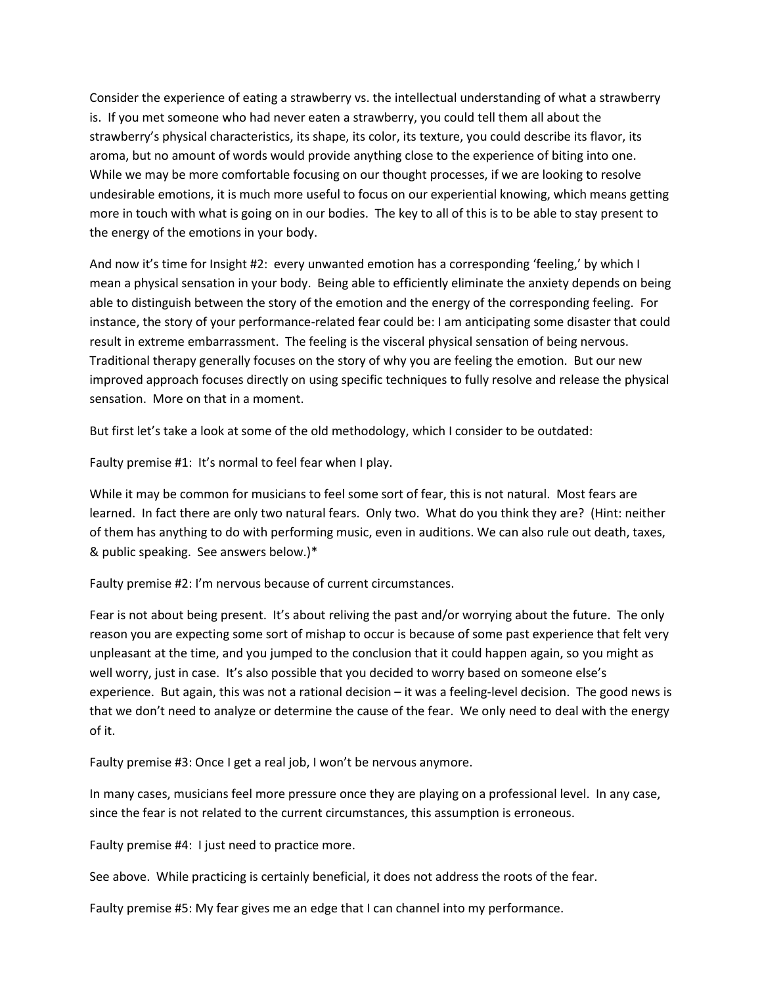Consider the experience of eating a strawberry vs. the intellectual understanding of what a strawberry is. If you met someone who had never eaten a strawberry, you could tell them all about the strawberry's physical characteristics, its shape, its color, its texture, you could describe its flavor, its aroma, but no amount of words would provide anything close to the experience of biting into one. While we may be more comfortable focusing on our thought processes, if we are looking to resolve undesirable emotions, it is much more useful to focus on our experiential knowing, which means getting more in touch with what is going on in our bodies. The key to all of this is to be able to stay present to the energy of the emotions in your body.

And now it's time for Insight #2: every unwanted emotion has a corresponding 'feeling,' by which I mean a physical sensation in your body. Being able to efficiently eliminate the anxiety depends on being able to distinguish between the story of the emotion and the energy of the corresponding feeling. For instance, the story of your performance-related fear could be: I am anticipating some disaster that could result in extreme embarrassment. The feeling is the visceral physical sensation of being nervous. Traditional therapy generally focuses on the story of why you are feeling the emotion. But our new improved approach focuses directly on using specific techniques to fully resolve and release the physical sensation. More on that in a moment.

But first let's take a look at some of the old methodology, which I consider to be outdated:

Faulty premise #1: It's normal to feel fear when I play.

While it may be common for musicians to feel some sort of fear, this is not natural. Most fears are learned. In fact there are only two natural fears. Only two. What do you think they are? (Hint: neither of them has anything to do with performing music, even in auditions. We can also rule out death, taxes, & public speaking. See answers below.)\*

Faulty premise #2: I'm nervous because of current circumstances.

Fear is not about being present. It's about reliving the past and/or worrying about the future. The only reason you are expecting some sort of mishap to occur is because of some past experience that felt very unpleasant at the time, and you jumped to the conclusion that it could happen again, so you might as well worry, just in case. It's also possible that you decided to worry based on someone else's experience. But again, this was not a rational decision – it was a feeling-level decision. The good news is that we don't need to analyze or determine the cause of the fear. We only need to deal with the energy of it.

Faulty premise #3: Once I get a real job, I won't be nervous anymore.

In many cases, musicians feel more pressure once they are playing on a professional level. In any case, since the fear is not related to the current circumstances, this assumption is erroneous.

Faulty premise #4: I just need to practice more.

See above. While practicing is certainly beneficial, it does not address the roots of the fear.

Faulty premise #5: My fear gives me an edge that I can channel into my performance.